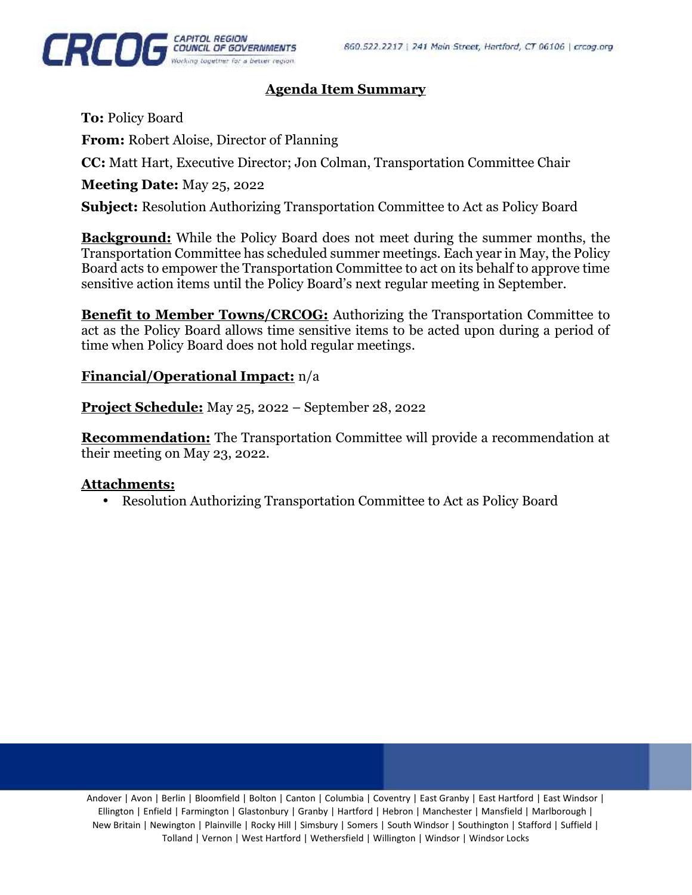

## **Agenda Item Summary**

**To:** Policy Board **From:** Robert Aloise, Director of Planning **CC:** Matt Hart, Executive Director; Jon Colman, Transportation Committee Chair **Meeting Date:** May 25, 2022

**Subject:** Resolution Authorizing Transportation Committee to Act as Policy Board

**Background:** While the Policy Board does not meet during the summer months, the Transportation Committee has scheduled summer meetings. Each year in May, the Policy Board acts to empower the Transportation Committee to act on its behalf to approve time sensitive action items until the Policy Board's next regular meeting in September.

**Benefit to Member Towns/CRCOG:** Authorizing the Transportation Committee to act as the Policy Board allows time sensitive items to be acted upon during a period of time when Policy Board does not hold regular meetings.

### **Financial/Operational Impact:** n/a

**Project Schedule:** May 25, 2022 – September 28, 2022

**Recommendation:** The Transportation Committee will provide a recommendation at their meeting on May 23, 2022.

### **Attachments:**

Resolution Authorizing Transportation Committee to Act as Policy Board

Andover | Avon | Berlin | Bloomfield | Bolton | Canton | Columbia | Coventry | East Granby | East Hartford | East Windsor | Ellington | Enfield | Farmington | Glastonbury | Granby | Hartford | Hebron | Manchester | Mansfield | Marlborough | New Britain | Newington | Plainville | Rocky Hill | Simsbury | Somers | South Windsor | Southington | Stafford | Suffield | Tolland | Vernon | West Hartford | Wethersfield | Willington | Windsor | Windsor Locks